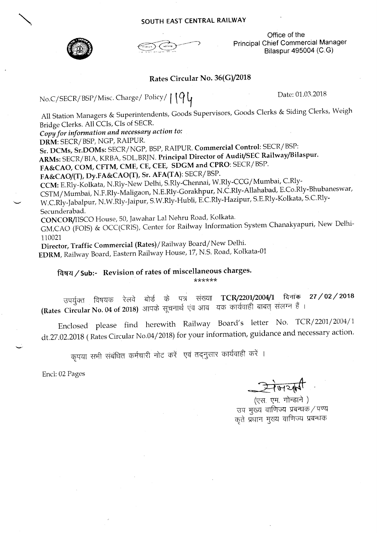

Office of the Principal Chief Commercial Manager Bilaspur 495004 (C.G)

## Rates Circular No. 36(G)/2018

No.C/SECR/BSP/Misc. Charge/ Policy/  $\sqrt{q}$ 

All Station Managers & Superintendents, Goods Supervisors, Goods Clerks & Siding Clerks, Weigh Bridge Clerks. All Ccls, Cls of SECR.

Copy for information and necessary action to:

DRM: SECR/BSP, NGP, RAIPUR.

Sr. DCMs, Sr.DOMs: SECR/NGP, BSP, RAIPUR. Commercial Control: SECR/BSP:

ARMs: SECR/BIA, KRBA, SDL,BRJN. Principal Director of Audit/SEC Railway/Bilaspur.

FA&CAO, COM, CFTM, CME, CE, CEE, SDGM and CPRO: SECR/BSP.

FA&CAO/(T), Dy.FA&CAO(T), Sr. AFA(TA): SECR/ BSP.

CCM:E.Rly-Kolkata,N.Rly-NewDelhi,S.Rly-Chennai,W.Rly-CCG/Mumbai,C.Rly-

CSTM/Mumbai,N.F.Rly-Maligaon,N.E.Rly-Gorakhpur,N.C.Rly-Allahabad,E.Co.Rly-Bhubaneswar,

W.C.Rly-Jabalpur, N.W.Rly-Jaipur, S.W.Rly-Hubli, E.C.Rly-Hazipur, S.E.Rly-Kolkata, S.C.Rly-Secunderabad.

CONCOR/IISCO House, 50, Jawahar Lal Nehru Road, Kolkata.

GM,CAO (FOIS) & OCC(CRIS), Center for Railway Information System Chanakyapuri, New Delhi-110021

Director, Traffic Commercial (Rates)/Railway Board/New Delhi.

EDRM, Railway Board, Eastern Railway House,17, N.S. Road, Kolkata-01

## ffi"/ Sub:-Revision of rates of miscellaneous charges. \*\*\*\*\*\*

oपर्युक्त विषयक रलव बाँड के पत्र संख्या **TClv22Oi/2004/1** fania 27/02/2018<br>Talent water to the contract the second water water in the second to the contract of the contract of the contract of the contract of the contract (Rates Circular No. 04 of 2018) 31997  $\chi$ 9 mag  $\chi$ 9 sita aliter film and aliter flitt and aliter flitt and  $\chi$ 

Enclosed please find herewith Railway Board's letter No. TCR/2201/2004/1 dt.27.02.2018 ( Rates Circular No.04/2018) for your information, guidance and necessary action.

कृपया सभी संबंधित कर्मचारी नोट करें एवं तद्नुसार कार्यवाही करें ।

Encl: 02 Pages<br>
Encl: 02 Pages<br>  $\frac{1}{2} \sqrt{12} \sqrt{12}$ 

(एस. एम. गोन्डाने) उप मुख्य वाणिज्य प्रबन्धक / पण्य कृते प्रधान मुख्य वाणिज्य प्रबन्धक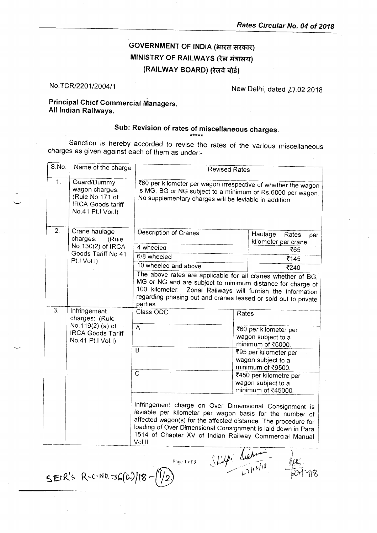## GOVERNMENT OF INDIA (भारत सरकार) MINISTRY OF RAILWAYS (रेल मंत्रालय) (RAILWAY BOARD) (रेलवे बोर्ड)

No.TCR/2201/2004/1

New Delhi, dated 27.02.2018

Principal Chief Commercial Managers, All Indian Railways.

## Sub: Revision of rates of miscellaneous charges. \*\*\*\*\*

Sanction is hereby accorded to revise the rates of the various miscellaneous charges as given against each of them as under:-

| S.No.            | Name of the charge                                                                                  | <b>Revised Rates</b>                                                                                                                                                                                                                                                                                                      |                                                                    |  |
|------------------|-----------------------------------------------------------------------------------------------------|---------------------------------------------------------------------------------------------------------------------------------------------------------------------------------------------------------------------------------------------------------------------------------------------------------------------------|--------------------------------------------------------------------|--|
| 1 <sub>1</sub>   | Guard/Dummy<br>wagon charges:<br>(Rule No.171 of<br><b>IRCA Goods tariff</b><br>No.41 Pt.I Vol.I)   | ₹60 per kilometer per wagon irrespective of whether the wagon<br>is MG, BG or NG subject to a minimum of Rs.6000 per wagon.<br>No supplementary charges will be leviable in addition.                                                                                                                                     |                                                                    |  |
| 2.               | Crane haulage<br>charges:<br>(Rule<br>No. 130(2) of IRCA<br>Goods Tariff No.41<br>Pt.I Vol.I)       | <b>Description of Cranes</b>                                                                                                                                                                                                                                                                                              | Haulage<br>Rates<br>per<br>kilometer per crane                     |  |
|                  |                                                                                                     | 4 wheeled                                                                                                                                                                                                                                                                                                                 | ₹65                                                                |  |
|                  |                                                                                                     | 6/8 wheeled                                                                                                                                                                                                                                                                                                               | ₹145                                                               |  |
|                  |                                                                                                     | 10 wheeled and above                                                                                                                                                                                                                                                                                                      | ₹240                                                               |  |
|                  |                                                                                                     | The above rates are applicable for all cranes whether of BG,<br>MG or NG and are subject to minimum distance for charge of<br>100 kilometer.<br>Zonal Railways will furnish the information<br>regarding phasing out and cranes leased or sold out to private<br>parties.                                                 |                                                                    |  |
| $\overline{3}$ . | Infringement<br>charges: (Rule<br>No.119(2) (a) of<br><b>IRCA Goods Tariff</b><br>No.41 Pt.I Vol.I) | Class ODC                                                                                                                                                                                                                                                                                                                 | Rates                                                              |  |
|                  |                                                                                                     | $\overline{A}$                                                                                                                                                                                                                                                                                                            | ₹60 per kilometer per<br>wagon subject to a<br>minimum of ₹6000.   |  |
|                  |                                                                                                     | B                                                                                                                                                                                                                                                                                                                         | ₹95 per kilometer per<br>wagon subject to a<br>minimum of ₹9500.   |  |
|                  |                                                                                                     | $\mathsf{C}$                                                                                                                                                                                                                                                                                                              | ₹450 per kilometre per<br>wagon subject to a<br>minimum of ₹45000. |  |
|                  |                                                                                                     | Infringement charge on Over Dimensional Consignment is<br>leviable per kilometer per wagon basis for the number of<br>affected wagon(s) for the affected distance. The procedure for<br>loading of Over Dimensional Consignment is laid down in Para<br>1514 of Chapter XV of Indian Railway Commercial Manual<br>Vol.II. |                                                                    |  |

Page 1 of 3  $\int \int \int \int \int$  $-24418$ 

 $SER'S R-C.N0.36(G)/18$